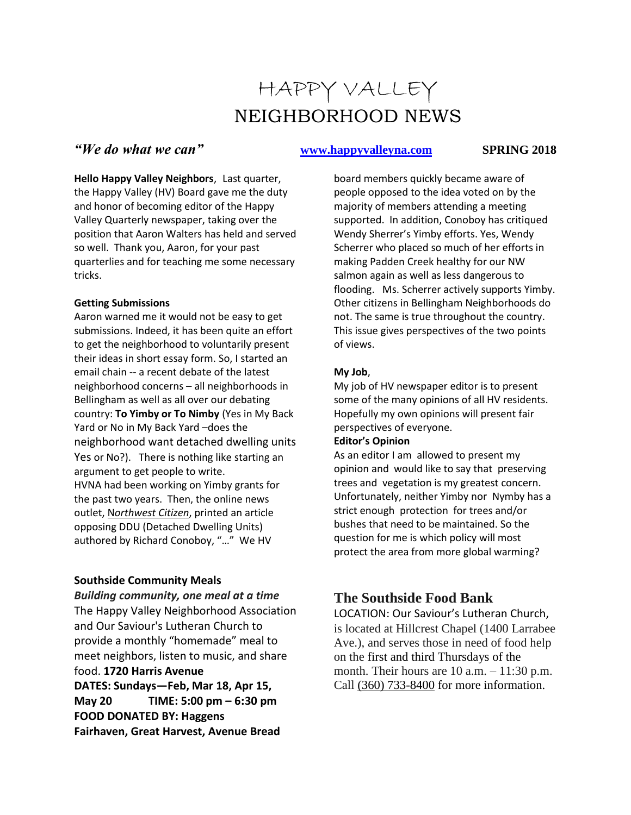# HAPPY VALLEY NEIGHBORHOOD NEWS

## *<u>We do what we can''* **[www.happyvalleyna.com](http://www.happyvalleyna.com/)** SPRING 2018</u>

**Hello Happy Valley Neighbors**, Last quarter, the Happy Valley (HV) Board gave me the duty and honor of becoming editor of the Happy Valley Quarterly newspaper, taking over the position that Aaron Walters has held and served so well. Thank you, Aaron, for your past quarterlies and for teaching me some necessary tricks.

#### **Getting Submissions**

Aaron warned me it would not be easy to get submissions. Indeed, it has been quite an effort to get the neighborhood to voluntarily present their ideas in short essay form. So, I started an email chain -- a recent debate of the latest neighborhood concerns – all neighborhoods in Bellingham as well as all over our debating country: **To Yimby or To Nimby** (Yes in My Back Yard or No in My Back Yard –does the neighborhood want detached dwelling units Yes or No?). There is nothing like starting an argument to get people to write. HVNA had been working on Yimby grants for the past two years. Then, the online news outlet, N*orthwest Citizen*, printed an article opposing DDU (Detached Dwelling Units) authored by Richard Conoboy, "…" We HV

#### **Southside Community Meals**

*Building community, one meal at a time* The Happy Valley Neighborhood Association and Our Saviour's Lutheran Church to provide a monthly "homemade" meal to meet neighbors, listen to music, and share food. **1720 Harris Avenue DATES: Sundays—Feb, Mar 18, Apr 15, May 20 TIME: 5:00 pm – 6:30 pm FOOD DONATED BY: Haggens Fairhaven, Great Harvest, Avenue Bread**

board members quickly became aware of people opposed to the idea voted on by the majority of members attending a meeting supported. In addition, Conoboy has critiqued Wendy Sherrer's Yimby efforts. Yes, Wendy Scherrer who placed so much of her efforts in making Padden Creek healthy for our NW salmon again as well as less dangerous to flooding. Ms. Scherrer actively supports Yimby. Other citizens in Bellingham Neighborhoods do not. The same is true throughout the country. This issue gives perspectives of the two points of views.

### **My Job**,

My job of HV newspaper editor is to present some of the many opinions of all HV residents. Hopefully my own opinions will present fair perspectives of everyone.

#### **Editor's Opinion**

As an editor I am allowed to present my opinion and would like to say that preserving trees and vegetation is my greatest concern. Unfortunately, neither Yimby nor Nymby has a strict enough protection for trees and/or bushes that need to be maintained. So the question for me is which policy will most protect the area from more global warming?

## **The Southside Food Bank**

LOCATION: Our Saviour's Lutheran Church, is located at Hillcrest Chapel (1400 Larrabee Ave.), and serves those in need of food help on the first and third Thursdays of the month. Their hours are  $10$  a.m.  $-11:30$  p.m. Call [\(360\) 733-8400](about:blank) for more information.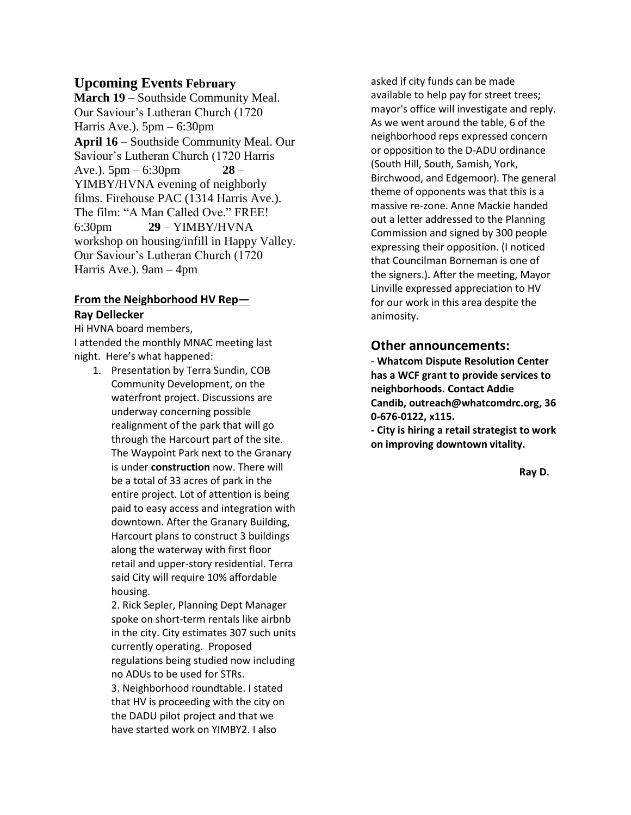### **Upcoming Events February**

**March 19** – Southside Community Meal. Our Saviour's Lutheran Church (1720 Harris Ave.).  $5pm - 6:30pm$ **April 16** – Southside Community Meal. Our Saviour's Lutheran Church (1720 Harris Ave.).  $5 \text{pm} - 6:30 \text{pm}$  28 – YIMBY/HVNA evening of neighborly films. Firehouse PAC (1314 Harris Ave.). The film: "A Man Called Ove." FREE! 6:30pm **29** – YIMBY/HVNA workshop on housing/infill in Happy Valley. Our Saviour's Lutheran Church (1720 Harris Ave.). 9am – 4pm

## **From the Neighborhood HV Rep—**

#### **Ray Dellecker**

Hi HVNA board members, I attended the monthly MNAC meeting last night. Here's what happened:

1. Presentation by Terra Sundin, COB Community Development, on the waterfront project. Discussions are underway concerning possible realignment of the park that will go through the Harcourt part of the site. The Waypoint Park next to the Granary is under **construction** now. There will be a total of 33 acres of park in the entire project. Lot of attention is being paid to easy access and integration with downtown. After the Granary Building, Harcourt plans to construct 3 buildings along the waterway with first floor retail and upper-story residential. Terra said City will require 10% affordable housing.

2. Rick Sepler, Planning Dept Manager spoke on short-term rentals like airbnb in the city. City estimates 307 such units currently operating. Proposed regulations being studied now including no ADUs to be used for STRs. 3. Neighborhood roundtable. I stated that HV is proceeding with the city on the DADU pilot project and that we have started work on YIMBY2. I also

asked if city funds can be made available to help pay for street trees; mayor's office will investigate and reply. As we went around the table, 6 of the neighborhood reps expressed concern or opposition to the D-ADU ordinance (South Hill, South, Samish, York, Birchwood, and Edgemoor). The general theme of opponents was that this is a massive re-zone. Anne Mackie handed out a letter addressed to the Planning Commission and signed by 300 people expressing their opposition. (I noticed that Councilman Borneman is one of the signers.). After the meeting, Mayor Linville expressed appreciation to HV for our work in this area despite the animosity.

### **Other announcements:**

- **Whatcom Dispute Resolution Center has a WCF grant to provide services to neighborhoods. Contact Addie Candib, [outreach@whatcomdrc.org,](mailto:outreach@whatcomdrc.org) [36](tel:(360)%20676-0122) [0-676-0122, x115.](tel:(360)%20676-0122)**

**- City is hiring a retail strategist to work on improving downtown vitality.**

**Ray D.**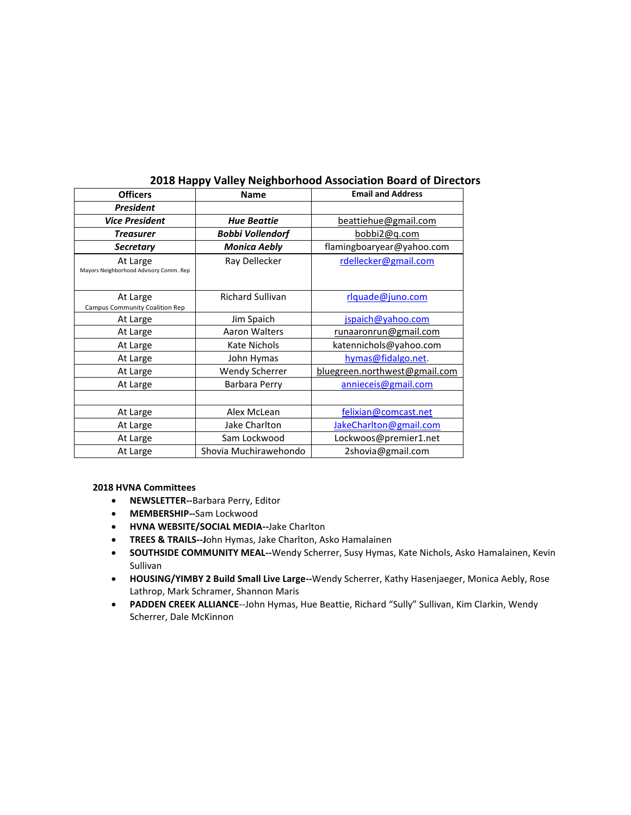| <b>Officers</b>                                    | <b>Name</b>             | <b>Email and Address</b>      |  |
|----------------------------------------------------|-------------------------|-------------------------------|--|
| <b>President</b>                                   |                         |                               |  |
| <b>Vice President</b>                              | <b>Hue Beattie</b>      | beattiehue@gmail.com          |  |
| <b>Treasurer</b>                                   | <b>Bobbi Vollendorf</b> | <u>bobbi2@q.com</u>           |  |
| <b>Secretary</b>                                   | <b>Monica Aebly</b>     | flamingboaryear@yahoo.com     |  |
| At Large<br>Mayors Neighborhood Advisory Comm. Rep | Ray Dellecker           | rdellecker@gmail.com          |  |
| At Large<br>Campus Community Coalition Rep         | <b>Richard Sullivan</b> | rlquade@juno.com              |  |
| At Large                                           | Jim Spaich              | jspaich@yahoo.com             |  |
| At Large                                           | Aaron Walters           | <u>runaaronrun@gmail.com</u>  |  |
| At Large                                           | Kate Nichols            | katennichols@yahoo.com        |  |
| At Large                                           | John Hymas              | hymas@fidalgo.net.            |  |
| At Large                                           | <b>Wendy Scherrer</b>   | bluegreen.northwest@gmail.com |  |
| At Large                                           | Barbara Perry           | annieceis@gmail.com           |  |
|                                                    |                         |                               |  |
| At Large                                           | Alex McLean             | felixian@comcast.net          |  |
| At Large                                           | Jake Charlton           | JakeCharlton@gmail.com        |  |
| At Large                                           | Sam Lockwood            | Lockwoos@premier1.net         |  |
| At Large                                           | Shovia Muchirawehondo   | 2shovia@gmail.com             |  |

#### **2018 Happy Valley Neighborhood Association Board of Directors**

#### **2018 HVNA Committees**

- **NEWSLETTER--**Barbara Perry, Editor
- **MEMBERSHIP--**Sam Lockwood
- **HVNA WEBSITE/SOCIAL MEDIA--**Jake Charlton
- **TREES & TRAILS--J**ohn Hymas, Jake Charlton, Asko Hamalainen
- **SOUTHSIDE COMMUNITY MEAL--**Wendy Scherrer, Susy Hymas, Kate Nichols, Asko Hamalainen, Kevin Sullivan
- **HOUSING/YIMBY 2 Build Small Live Large--**Wendy Scherrer, Kathy Hasenjaeger, Monica Aebly, Rose Lathrop, Mark Schramer, Shannon Maris
- **PADDEN CREEK ALLIANCE**--John Hymas, Hue Beattie, Richard "Sully" Sullivan, Kim Clarkin, Wendy Scherrer, Dale McKinnon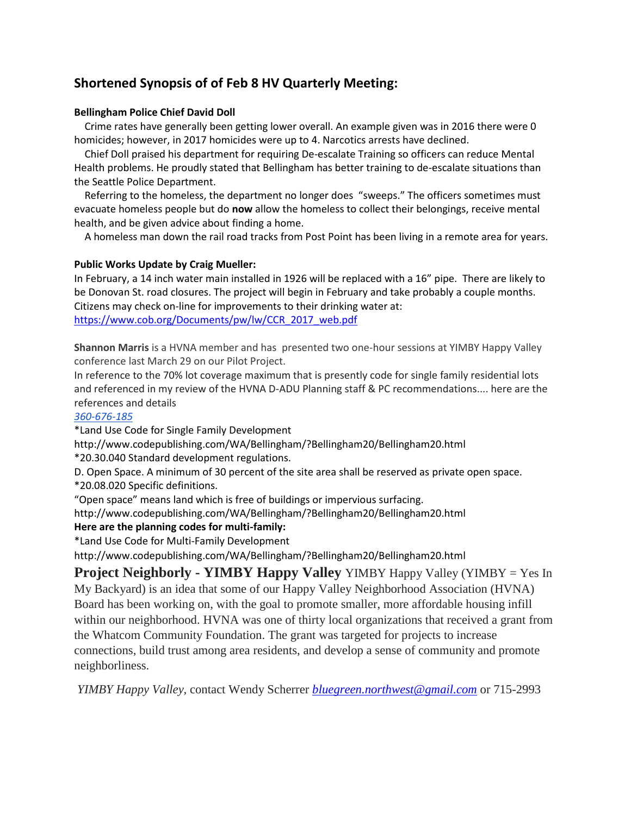## **Shortened Synopsis of of Feb 8 HV Quarterly Meeting:**

#### **Bellingham Police Chief David Doll**

 Crime rates have generally been getting lower overall. An example given was in 2016 there were 0 homicides; however, in 2017 homicides were up to 4. Narcotics arrests have declined.

 Chief Doll praised his department for requiring De-escalate Training so officers can reduce Mental Health problems. He proudly stated that Bellingham has better training to de-escalate situations than the Seattle Police Department.

 Referring to the homeless, the department no longer does "sweeps." The officers sometimes must evacuate homeless people but do **now** allow the homeless to collect their belongings, receive mental health, and be given advice about finding a home.

A homeless man down the rail road tracks from Post Point has been living in a remote area for years.

#### **Public Works Update by Craig Mueller:**

In February, a 14 inch water main installed in 1926 will be replaced with a 16" pipe. There are likely to be Donovan St. road closures. The project will begin in February and take probably a couple months. Citizens may check on-line for improvements to their drinking water at: [https://www.cob.org/Documents/pw/lw/CCR\\_2017\\_web.pdf](https://www.cob.org/Documents/pw/lw/CCR_2017_web.pdf)

**Shannon Marris** is a HVNA member and has presented two one-hour sessions at YIMBY Happy Valley conference last March 29 on our Pilot Project.

In reference to the 70% lot coverage maximum that is presently code for single family residential lots and referenced in my review of the HVNA D-ADU Planning staff & PC recommendations.... here are the references and details

#### *[360-676-185](tel:(360)%20676-1859)*

\*Land Use Code for Single Family Development

<http://www.codepublishing.com/WA/Bellingham/?Bellingham20/Bellingham20.html> \*20.30.040 Standard development regulations.

D. Open Space. A minimum of 30 percent of the site area shall be reserved as private open space.

\*20.08.020 Specific definitions.

"Open space" means land which is free of buildings or impervious surfacing.

<http://www.codepublishing.com/WA/Bellingham/?Bellingham20/Bellingham20.html>

#### **Here are the planning codes for multi-family:**

\*Land Use Code for Multi-Family Development

<http://www.codepublishing.com/WA/Bellingham/?Bellingham20/Bellingham20.html>

**Project Neighborly - YIMBY Happy Valley** YIMBY Happy Valley (YIMBY = Yes In My Backyard) is an idea that some of our Happy Valley Neighborhood Association (HVNA) Board has been working on, with the goal to promote smaller, more affordable housing infill within our neighborhood. HVNA was one of thirty local organizations that received a grant from the Whatcom Community Foundation. The grant was targeted for projects to increase connections, build trust among area residents, and develop a sense of community and promote neighborliness.

*YIMBY Happy Valley,* contact Wendy Scherrer *[bluegreen.northwest@gmail.com](mailto:bluegreen.northwest@gmail.com)* or 715-2993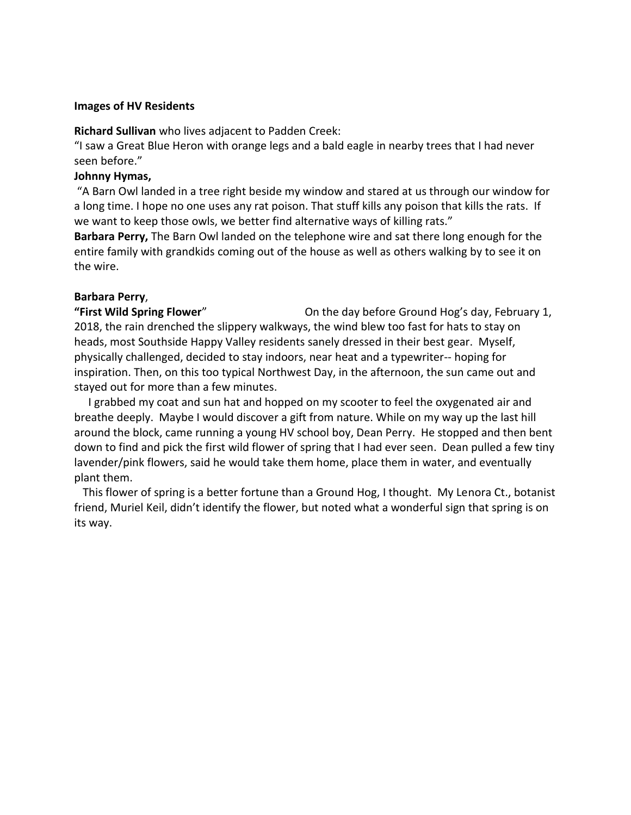#### **Images of HV Residents**

**Richard Sullivan** who lives adjacent to Padden Creek:

"I saw a Great Blue Heron with orange legs and a bald eagle in nearby trees that I had never seen before."

#### **Johnny Hymas,**

"A Barn Owl landed in a tree right beside my window and stared at us through our window for a long time. I hope no one uses any rat poison. That stuff kills any poison that kills the rats. If we want to keep those owls, we better find alternative ways of killing rats."

**Barbara Perry,** The Barn Owl landed on the telephone wire and sat there long enough for the entire family with grandkids coming out of the house as well as others walking by to see it on the wire.

### **Barbara Perry**,

**"First Wild Spring Flower**" On the day before Ground Hog's day, February 1, 2018, the rain drenched the slippery walkways, the wind blew too fast for hats to stay on heads, most Southside Happy Valley residents sanely dressed in their best gear. Myself, physically challenged, decided to stay indoors, near heat and a typewriter-- hoping for inspiration. Then, on this too typical Northwest Day, in the afternoon, the sun came out and stayed out for more than a few minutes.

 I grabbed my coat and sun hat and hopped on my scooter to feel the oxygenated air and breathe deeply. Maybe I would discover a gift from nature. While on my way up the last hill around the block, came running a young HV school boy, Dean Perry. He stopped and then bent down to find and pick the first wild flower of spring that I had ever seen. Dean pulled a few tiny lavender/pink flowers, said he would take them home, place them in water, and eventually plant them.

 This flower of spring is a better fortune than a Ground Hog, I thought. My Lenora Ct., botanist friend, Muriel Keil, didn't identify the flower, but noted what a wonderful sign that spring is on its way.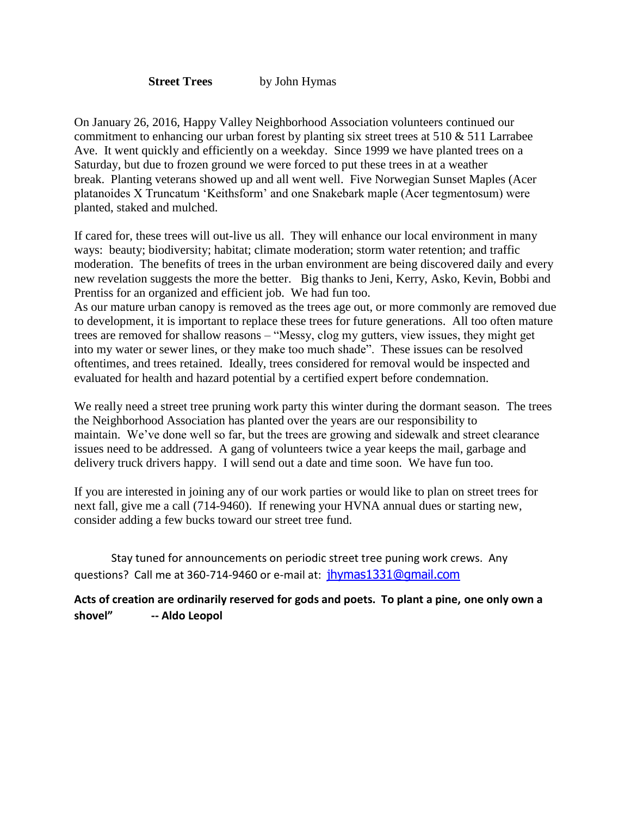**Street Trees** by John Hymas

On January 26, 2016, Happy Valley Neighborhood Association volunteers continued our commitment to enhancing our urban forest by planting six street trees at  $510 \& 511$  Larrabee Ave. It went quickly and efficiently on a weekday. Since 1999 we have planted trees on a Saturday, but due to frozen ground we were forced to put these trees in at a weather break. Planting veterans showed up and all went well. Five Norwegian Sunset Maples (Acer platanoides X Truncatum 'Keithsform' and one Snakebark maple (Acer tegmentosum) were planted, staked and mulched.

If cared for, these trees will out-live us all. They will enhance our local environment in many ways: beauty; biodiversity; habitat; climate moderation; storm water retention; and traffic moderation. The benefits of trees in the urban environment are being discovered daily and every new revelation suggests the more the better. Big thanks to Jeni, Kerry, Asko, Kevin, Bobbi and Prentiss for an organized and efficient job. We had fun too.

As our mature urban canopy is removed as the trees age out, or more commonly are removed due to development, it is important to replace these trees for future generations. All too often mature trees are removed for shallow reasons – "Messy, clog my gutters, view issues, they might get into my water or sewer lines, or they make too much shade". These issues can be resolved oftentimes, and trees retained. Ideally, trees considered for removal would be inspected and evaluated for health and hazard potential by a certified expert before condemnation.

We really need a street tree pruning work party this winter during the dormant season. The trees the Neighborhood Association has planted over the years are our responsibility to maintain. We've done well so far, but the trees are growing and sidewalk and street clearance issues need to be addressed. A gang of volunteers twice a year keeps the mail, garbage and delivery truck drivers happy. I will send out a date and time soon. We have fun too.

If you are interested in joining any of our work parties or would like to plan on street trees for next fall, give me a call (714-9460). If renewing your HVNA annual dues or starting new, consider adding a few bucks toward our street tree fund.

Stay tuned for announcements on periodic street tree puning work crews. Any questions? Call me at 360-714-9460 or e-mail at: [jhymas1331@gmail.com](mailto:jhymas1331@gmail.com)

## **Acts of creation are ordinarily reserved for gods and poets. To plant a pine, one only own a shovel" -- Aldo Leopol**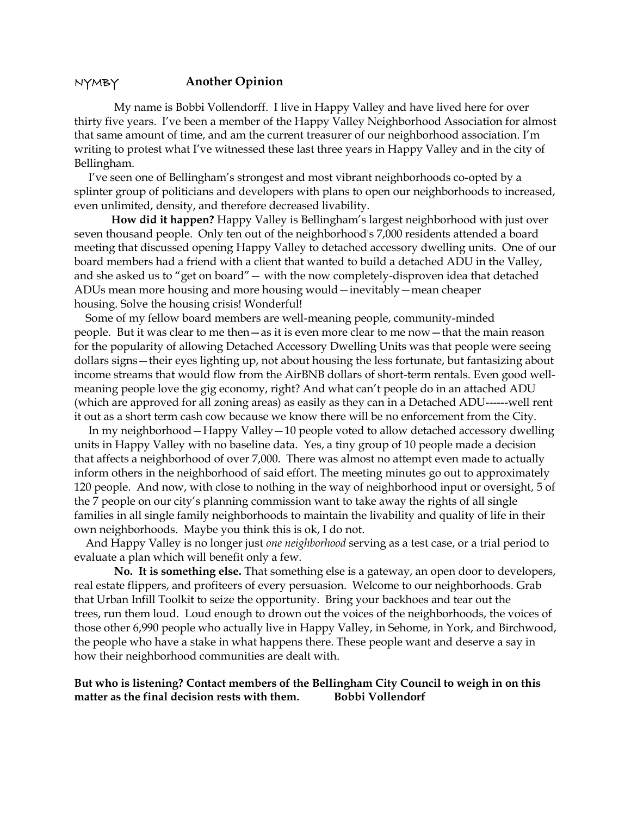#### NYMBY **Another Opinion**

My name is Bobbi Vollendorff. I live in Happy Valley and have lived here for over thirty five years. I've been a member of the Happy Valley Neighborhood Association for almost that same amount of time, and am the current treasurer of our neighborhood association. I'm writing to protest what I've witnessed these last three years in Happy Valley and in the city of Bellingham.

 I've seen one of Bellingham's strongest and most vibrant neighborhoods co-opted by a splinter group of politicians and developers with plans to open our neighborhoods to increased, even unlimited, density, and therefore decreased livability.

**How did it happen?** Happy Valley is Bellingham's largest neighborhood with just over seven thousand people. Only ten out of the neighborhood's 7,000 residents attended a board meeting that discussed opening Happy Valley to detached accessory dwelling units. One of our board members had a friend with a client that wanted to build a detached ADU in the Valley, and she asked us to "get on board"— with the now completely-disproven idea that detached ADUs mean more housing and more housing would—inevitably—mean cheaper housing. Solve the housing crisis! Wonderful!

 Some of my fellow board members are well-meaning people, community-minded people. But it was clear to me then—as it is even more clear to me now—that the main reason for the popularity of allowing Detached Accessory Dwelling Units was that people were seeing dollars signs—their eyes lighting up, not about housing the less fortunate, but fantasizing about income streams that would flow from the AirBNB dollars of short-term rentals. Even good wellmeaning people love the gig economy, right? And what can't people do in an attached ADU (which are approved for all zoning areas) as easily as they can in a Detached ADU------well rent it out as a short term cash cow because we know there will be no enforcement from the City.

 In my neighborhood—Happy Valley—10 people voted to allow detached accessory dwelling units in Happy Valley with no baseline data. Yes, a tiny group of 10 people made a decision that affects a neighborhood of over 7,000. There was almost no attempt even made to actually inform others in the neighborhood of said effort. The meeting minutes go out to approximately 120 people. And now, with close to nothing in the way of neighborhood input or oversight, 5 of the 7 people on our city's planning commission want to take away the rights of all single families in all single family neighborhoods to maintain the livability and quality of life in their own neighborhoods. Maybe you think this is ok, I do not.

 And Happy Valley is no longer just *one neighborhood* serving as a test case, or a trial period to evaluate a plan which will benefit only a few.

**No. It is something else.** That something else is a gateway, an open door to developers, real estate flippers, and profiteers of every persuasion. Welcome to our neighborhoods. Grab that Urban Infill Toolkit to seize the opportunity. Bring your backhoes and tear out the trees, run them loud. Loud enough to drown out the voices of the neighborhoods, the voices of those other 6,990 people who actually live in Happy Valley, in Sehome, in York, and Birchwood, the people who have a stake in what happens there. These people want and deserve a say in how their neighborhood communities are dealt with.

#### **But who is listening? Contact members of the Bellingham City Council to weigh in on this matter as the final decision rests with them. Bobbi Vollendorf**